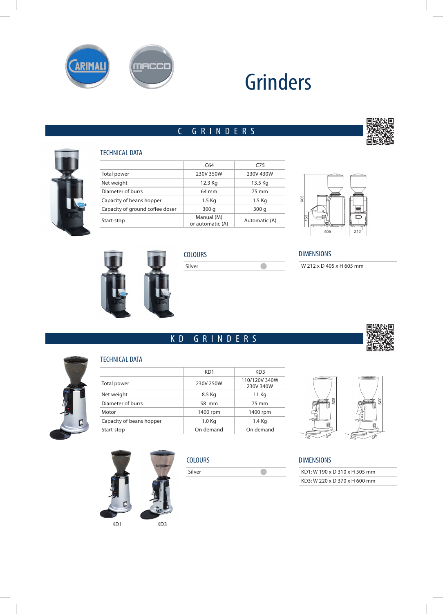

# Grinders

 $\overline{\bullet}$ 

# C GRINDERS



#### TECHNICAL DATA

|                                 | C64                            | C <sub>75</sub> |
|---------------------------------|--------------------------------|-----------------|
| Total power                     | 230V 350W                      | 230V 430W       |
| Net weight                      | 12.3 Kg                        | 13.5 Kg         |
| Diameter of burrs               | 64 mm                          | 75 mm           |
| Capacity of beans hopper        | 1.5 Kg                         | 1.5 Kg          |
| Capacity of ground coffee doser | 300q                           | 300q            |
| Start-stop                      | Manual (M)<br>or automatic (A) | Automatic (A)   |



### **COLOURS** Silver

KD GRINDERS

# DIMENSIONS

W 212 x D 405 x H 605 mm



#### TECHNICAL DATA

|                          | KD1               | KD <sub>3</sub>            |
|--------------------------|-------------------|----------------------------|
| Total power              | 230V 250W         | 110/120V 340W<br>230V 340W |
| Net weight               | 8.5 Kg            | 11 Kg                      |
| Diameter of burrs        | 58 mm             | 75 mm                      |
| Motor                    | 1400 rpm          | 1400 rpm                   |
| Capacity of beans hopper | 1.0 <sub>Kq</sub> | 1.4 Kg                     |
| Start-stop               | On demand         | On demand                  |
|                          |                   |                            |



п

直



**COLOURS** 

| Silver |  |
|--------|--|
|--------|--|

#### DIMENSIONS

| KD1: W 190 x D 310 x H 505 mm |
|-------------------------------|
| KD3: W 220 x D 370 x H 600 mm |